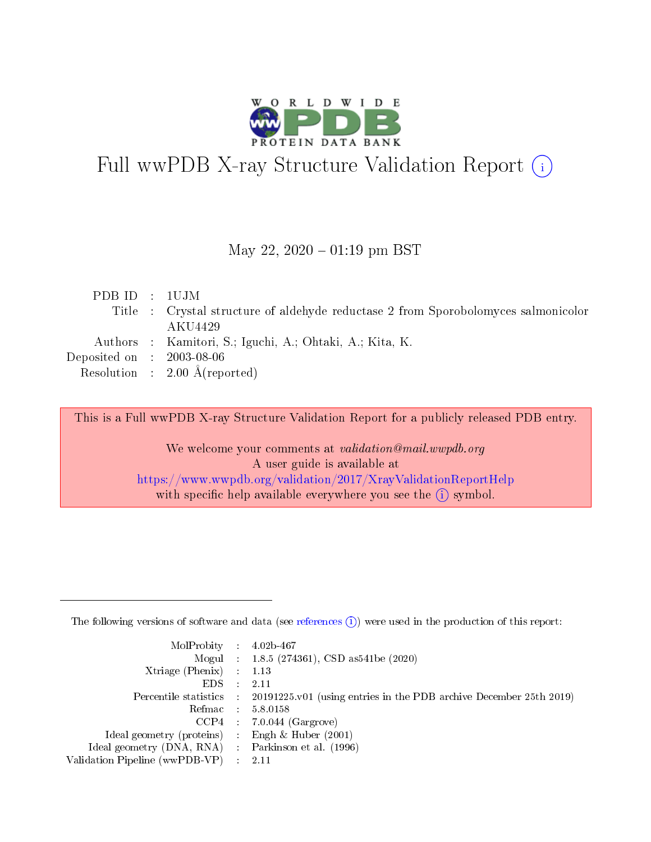

# Full wwPDB X-ray Structure Validation Report (i)

#### May 22,  $2020 - 01:19$  pm BST

| PDB ID : 1UJM                  |                                                                                    |
|--------------------------------|------------------------------------------------------------------------------------|
|                                | Title : Crystal structure of aldehyde reductase 2 from Sporobolomyces salmonicolor |
|                                | AKU4429                                                                            |
|                                | Authors : Kamitori, S.; Iguchi, A.; Ohtaki, A.; Kita, K.                           |
| Deposited on $\,$ : 2003-08-06 |                                                                                    |
|                                | Resolution : $2.00 \text{ Å}$ (reported)                                           |

This is a Full wwPDB X-ray Structure Validation Report for a publicly released PDB entry.

We welcome your comments at validation@mail.wwpdb.org A user guide is available at <https://www.wwpdb.org/validation/2017/XrayValidationReportHelp> with specific help available everywhere you see the  $(i)$  symbol.

The following versions of software and data (see [references](https://www.wwpdb.org/validation/2017/XrayValidationReportHelp#references)  $(1)$ ) were used in the production of this report:

| $MolProbability$ : 4.02b-467                      |                              |                                                                                            |
|---------------------------------------------------|------------------------------|--------------------------------------------------------------------------------------------|
|                                                   |                              | Mogul : $1.8.5$ (274361), CSD as 541be (2020)                                              |
| Xtriage (Phenix) $: 1.13$                         |                              |                                                                                            |
| EDS –                                             | $\sim$                       | -2.11                                                                                      |
|                                                   |                              | Percentile statistics : 20191225.v01 (using entries in the PDB archive December 25th 2019) |
| Refmac : 5.8.0158                                 |                              |                                                                                            |
| CCP4                                              |                              | $7.0.044$ (Gargrove)                                                                       |
| Ideal geometry (proteins)                         | $\mathcal{L}_{\mathrm{eff}}$ | Engh & Huber $(2001)$                                                                      |
| Ideal geometry (DNA, RNA) Parkinson et al. (1996) |                              |                                                                                            |
| Validation Pipeline (wwPDB-VP) : 2.11             |                              |                                                                                            |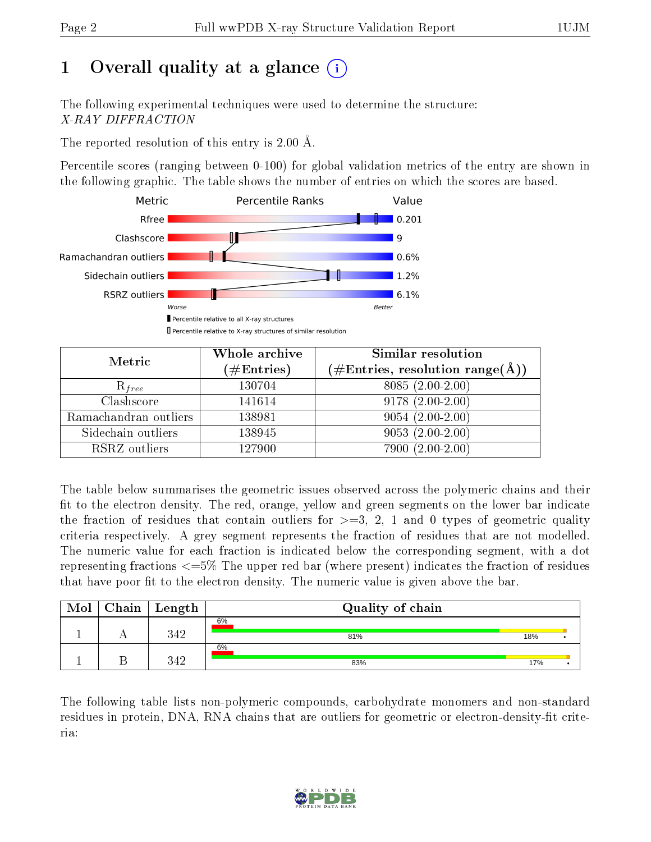## 1 [O](https://www.wwpdb.org/validation/2017/XrayValidationReportHelp#overall_quality)verall quality at a glance (i)

The following experimental techniques were used to determine the structure: X-RAY DIFFRACTION

The reported resolution of this entry is 2.00 Å.

Percentile scores (ranging between 0-100) for global validation metrics of the entry are shown in the following graphic. The table shows the number of entries on which the scores are based.



| Metric                | Whole archive<br>$(\#\text{Entries})$ | Similar resolution<br>$(\#\text{Entries},\, \text{resolution}\; \text{range}(\textup{\AA}))$ |
|-----------------------|---------------------------------------|----------------------------------------------------------------------------------------------|
| $R_{free}$            | 130704                                | $8085(2.00-2.00)$                                                                            |
| Clashscore            | 141614                                | $9178(2.00-2.00)$                                                                            |
| Ramachandran outliers | 138981                                | $9054(2.00-2.00)$                                                                            |
| Sidechain outliers    | 138945                                | $9053(2.00-2.00)$                                                                            |
| RSRZ outliers         | 127900                                | 7900 (2.00-2.00)                                                                             |

The table below summarises the geometric issues observed across the polymeric chains and their fit to the electron density. The red, orange, yellow and green segments on the lower bar indicate the fraction of residues that contain outliers for  $>=3, 2, 1$  and 0 types of geometric quality criteria respectively. A grey segment represents the fraction of residues that are not modelled. The numeric value for each fraction is indicated below the corresponding segment, with a dot representing fractions <=5% The upper red bar (where present) indicates the fraction of residues that have poor fit to the electron density. The numeric value is given above the bar.

| Mol | $Chain \  Length$ | Quality of chain |     |  |
|-----|-------------------|------------------|-----|--|
|     | 349               | 6%<br>81%        | 18% |  |
|     | 249               | 6%<br>83%        | 17% |  |

The following table lists non-polymeric compounds, carbohydrate monomers and non-standard residues in protein, DNA, RNA chains that are outliers for geometric or electron-density-fit criteria:

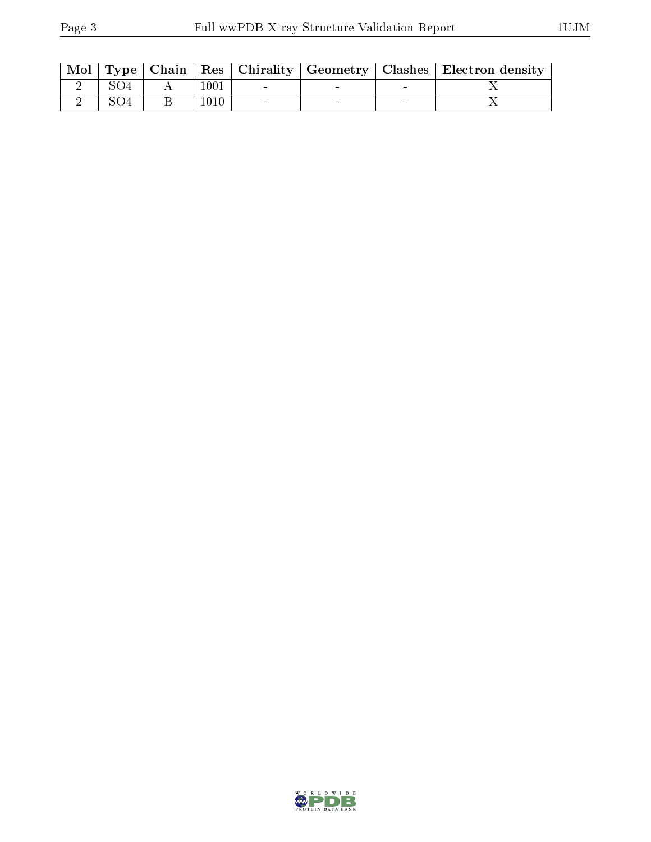|  |      |  | $\mid$ Mol $\mid$ Type $\mid$ Chain $\mid$ Res $\mid$ Chirality $\mid$ Geometry $\mid$ Clashes $\mid$ Electron density $\mid$ |
|--|------|--|-------------------------------------------------------------------------------------------------------------------------------|
|  | 1001 |  |                                                                                                                               |
|  | 1010 |  |                                                                                                                               |

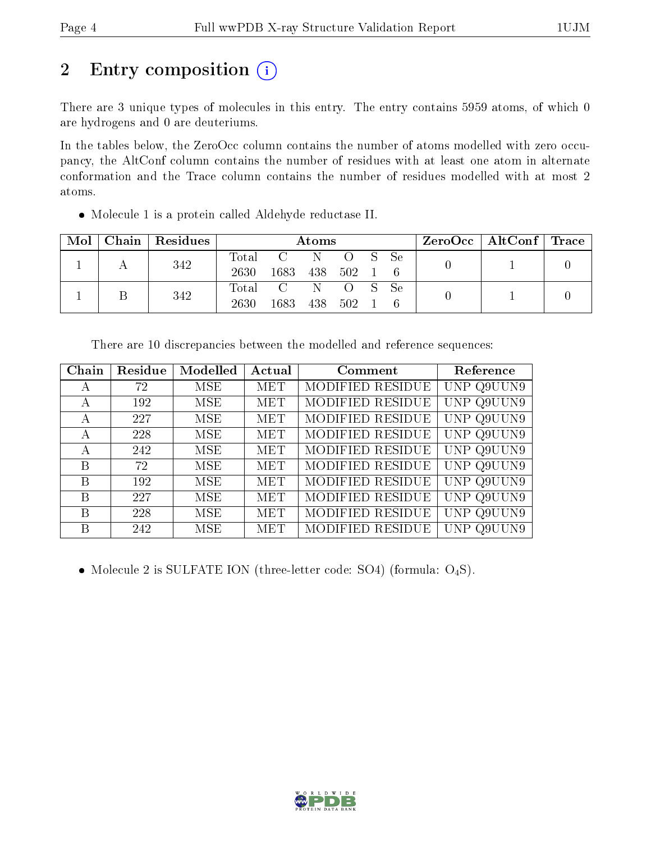## 2 Entry composition (i)

There are 3 unique types of molecules in this entry. The entry contains 5959 atoms, of which 0 are hydrogens and 0 are deuteriums.

In the tables below, the ZeroOcc column contains the number of atoms modelled with zero occupancy, the AltConf column contains the number of residues with at least one atom in alternate conformation and the Trace column contains the number of residues modelled with at most 2 atoms.

Molecule 1 is a protein called Aldehyde reductase II.

| Mol | Chain   Residues | Atoms         |                       |         |        |  | $\text{ZeroOcc}$   AltConf   Trace |  |  |
|-----|------------------|---------------|-----------------------|---------|--------|--|------------------------------------|--|--|
|     | 342              | Total<br>2630 | C N<br>1683 438 502 1 |         | O S Se |  |                                    |  |  |
|     | 342              | 2630          | Total C N<br>1683     | 438 502 | O S Se |  |                                    |  |  |

| Chain | Residue | Modelled   | Actual     | Comment          | Reference  |
|-------|---------|------------|------------|------------------|------------|
| А     | 72      | MSE        | MET        | MODIFIED RESIDUE | UNP Q9UUN9 |
| A     | 192     | MSE        | <b>MET</b> | MODIFIED RESIDUE | UNP Q9UUN9 |
| A     | 227     | MSE        | MET        | MODIFIED RESIDUE | UNP Q9UUN9 |
| A     | 228     | MSE        | <b>MET</b> | MODIFIED RESIDUE | UNP Q9UUN9 |
| А     | 242     | MSE        | <b>MET</b> | MODIFIED RESIDUE | UNP Q9UUN9 |
| В     | 72      | MSE        | <b>MET</b> | MODIFIED RESIDUE | UNP Q9UUN9 |
| B     | 192     | <b>MSE</b> | <b>MET</b> | MODIFIED RESIDUE | UNP Q9UUN9 |
| B     | 227     | MSE.       | <b>MET</b> | MODIFIED RESIDUE | UNP Q9UUN9 |
| B     | 228     | <b>MSE</b> | <b>MET</b> | MODIFIED RESIDUE | UNP Q9UUN9 |
| В     | 242     | MSE        | MET        | MODIFIED RESIDUE | UNP Q9U    |

There are 10 discrepancies between the modelled and reference sequences:

• Molecule 2 is SULFATE ION (three-letter code: SO4) (formula:  $O_4S$ ).

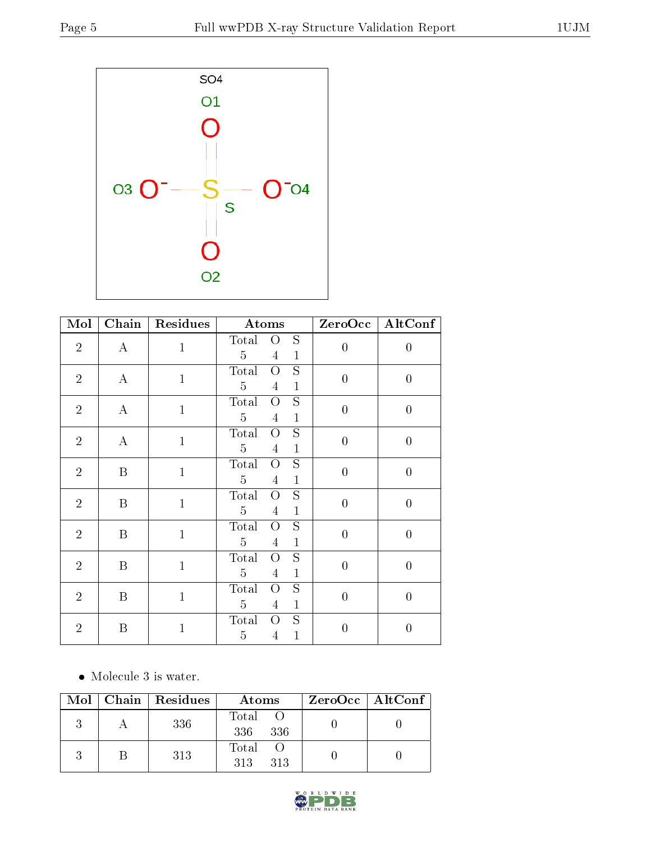

| $\overline{\text{Mol}}$ | $\overline{\text{Chain}}$ | <b>Residues</b> | Atoms                                                                                                  | ZeroOcc          | AltConf          |
|-------------------------|---------------------------|-----------------|--------------------------------------------------------------------------------------------------------|------------------|------------------|
| $\overline{2}$          | $\bf{A}$                  | $\mathbf{1}$    | S<br>Total<br>$\overline{O}$<br>5<br>$\overline{4}$<br>$\mathbf{1}$                                    | $\boldsymbol{0}$ | $\boldsymbol{0}$ |
| $\overline{2}$          | $\bf{A}$                  | $\mathbf{1}$    | S<br>Total<br>O<br>$\overline{5}$<br>$\overline{4}$<br>$\mathbf{1}$                                    | $\overline{0}$   | $\overline{0}$   |
| $\sqrt{2}$              | $\bf{A}$                  | $\mathbf{1}$    | $\overline{S}$<br>Total<br>$\overline{O}$<br>$\overline{5}$<br>$\overline{4}$<br>$\mathbf{1}$          | $\overline{0}$   | $\overline{0}$   |
| $\overline{2}$          | $\bf{A}$                  | $\mathbf{1}$    | $\overline{\mathrm{s}}$<br>Total<br>$\overline{O}$<br>$\overline{5}$<br>$\mathbf{1}$<br>$\overline{4}$ | $\overline{0}$   | $\overline{0}$   |
| $\sqrt{2}$              | B                         | $\mathbf{1}$    | S<br>Total<br>$\overline{O}$<br>$\overline{5}$<br>$\mathbf{1}$<br>$\overline{4}$                       | $\overline{0}$   | $\overline{0}$   |
| $\overline{2}$          | B                         | $\mathbf{1}$    | S<br>Total<br>O<br>$\overline{5}$<br>$\mathbf{1}$<br>4                                                 | $\overline{0}$   | $\overline{0}$   |
| $\overline{2}$          | $\, {\bf B}$              | $\mathbf{1}$    | S<br>Total<br>$\overline{O}$<br>$\overline{5}$<br>$\mathbf{1}$<br>$\overline{4}$                       | $\boldsymbol{0}$ | $\overline{0}$   |
| $\overline{2}$          | B                         | $\mathbf{1}$    | S<br>Total<br>$\overline{O}$<br>$\overline{5}$<br>$\mathbf{1}$<br>4                                    | $\overline{0}$   | $\overline{0}$   |
| $\overline{2}$          | B                         | $\mathbf{1}$    | S<br>Total<br>О<br>$\overline{5}$<br>$\mathbf{1}$<br>4                                                 | $\overline{0}$   | $\overline{0}$   |
| $\overline{2}$          | $\boldsymbol{B}$          | $\mathbf{1}$    | S<br>Total<br>$\overline{O}$<br>$\mathbf{1}$<br>5<br>4                                                 | $\overline{0}$   | $\boldsymbol{0}$ |

• Molecule 3 is water.

|  | $Mol$   Chain   Residues | Atoms               | ZeroOcc   AltConf |
|--|--------------------------|---------------------|-------------------|
|  | 336                      | Total<br>336<br>336 |                   |
|  | 313                      | Total<br>313<br>313 |                   |

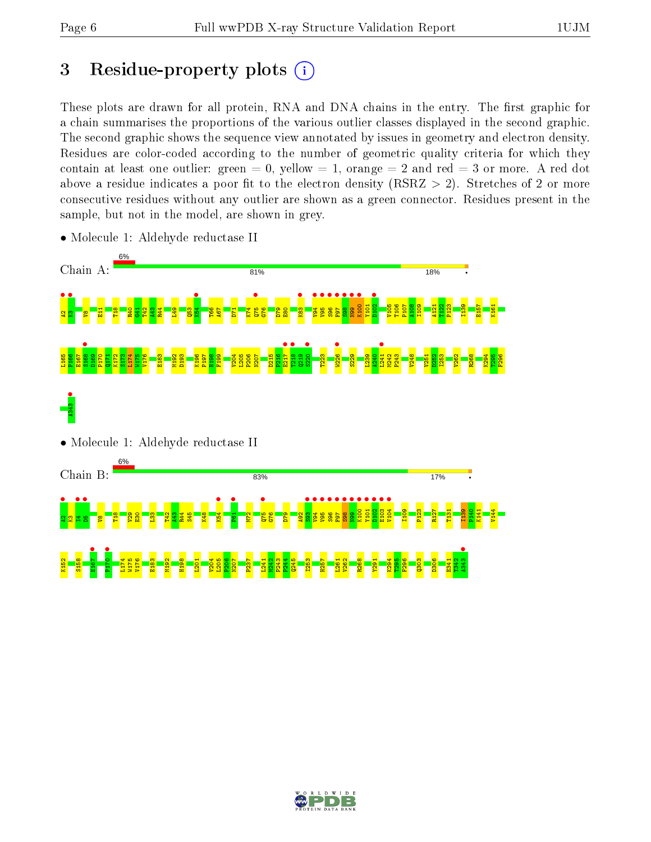## 3 Residue-property plots  $(i)$

These plots are drawn for all protein, RNA and DNA chains in the entry. The first graphic for a chain summarises the proportions of the various outlier classes displayed in the second graphic. The second graphic shows the sequence view annotated by issues in geometry and electron density. Residues are color-coded according to the number of geometric quality criteria for which they contain at least one outlier: green  $= 0$ , yellow  $= 1$ , orange  $= 2$  and red  $= 3$  or more. A red dot above a residue indicates a poor fit to the electron density (RSRZ  $> 2$ ). Stretches of 2 or more consecutive residues without any outlier are shown as a green connector. Residues present in the sample, but not in the model, are shown in grey.



• Molecule 1: Aldehyde reductase II

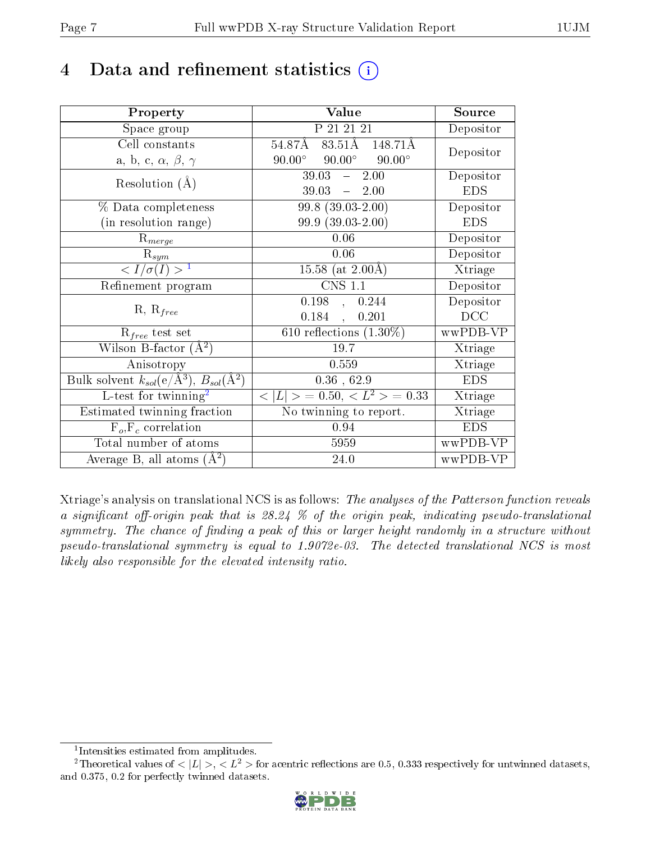## 4 Data and refinement statistics  $(i)$

| Property                                                                 | Value                                             | Source                       |
|--------------------------------------------------------------------------|---------------------------------------------------|------------------------------|
| Space group                                                              | P 21 21 21                                        | Depositor                    |
| Cell constants                                                           | 83.51Å 148.71Å<br>54.87Å                          | Depositor                    |
| a, b, c, $\alpha$ , $\beta$ , $\gamma$                                   | $90.00^\circ$<br>$90.00^\circ$<br>$90.00^{\circ}$ |                              |
| Resolution $(A)$                                                         | 2.00<br>39.03<br>$\frac{1}{2}$                    | Depositor                    |
|                                                                          | 39.03<br>$-2.00$                                  | <b>EDS</b>                   |
| % Data completeness                                                      | $99.8$ $(39.03 - 2.00)$                           | Depositor                    |
| (in resolution range)                                                    | 99.9 (39.03-2.00)                                 | <b>EDS</b>                   |
| $R_{merge}$                                                              | 0.06                                              | Depositor                    |
| $\mathrm{R}_{sym}$                                                       | 0.06                                              | Depositor                    |
| $\langle I/\sigma(I) \rangle^{-1}$                                       | 15.58 (at $2.00\text{\AA}$ )                      | Xtriage                      |
| Refinement program                                                       | $\overline{\text{CNS} 1.1}$                       | Depositor                    |
| $R, R_{free}$                                                            | $0.198 \quad , \quad 0.244$                       | Depositor                    |
|                                                                          | $0.184$ ,<br>0.201                                | DCC                          |
| $R_{free}$ test set                                                      | 610 reflections $(1.30\%)$                        | wwPDB-VP                     |
| Wilson B-factor $(A^2)$                                                  | 19.7                                              | Xtriage                      |
| Anisotropy                                                               | 0.559                                             | Xtriage                      |
| Bulk solvent $k_{sol}(\mathrm{e}/\mathrm{A}^3),$ $B_{sol}(\mathrm{A}^2)$ | $0.36$ , 62.9                                     | <b>EDS</b>                   |
| L-test for twinning <sup>2</sup>                                         | $< L >$ = 0.50, $< L2 >$ = 0.33                   | Xtriage                      |
| Estimated twinning fraction                                              | No twinning to report.                            | $\overline{\text{X}}$ triage |
| $F_o, F_c$ correlation                                                   | 0.94                                              | <b>EDS</b>                   |
| Total number of atoms                                                    | 5959                                              | wwPDB-VP                     |
| Average B, all atoms $(A^2)$                                             | 24.0                                              | wwPDB-VP                     |

Xtriage's analysis on translational NCS is as follows: The analyses of the Patterson function reveals a significant off-origin peak that is  $28.24\%$  of the origin peak, indicating pseudo-translational symmetry. The chance of finding a peak of this or larger height randomly in a structure without pseudo-translational symmetry is equal to 1.9072e-03. The detected translational NCS is most likely also responsible for the elevated intensity ratio.

<sup>&</sup>lt;sup>2</sup>Theoretical values of  $\langle |L| \rangle$ ,  $\langle L^2 \rangle$  for acentric reflections are 0.5, 0.333 respectively for untwinned datasets, and 0.375, 0.2 for perfectly twinned datasets.



<span id="page-6-1"></span><span id="page-6-0"></span><sup>1</sup> Intensities estimated from amplitudes.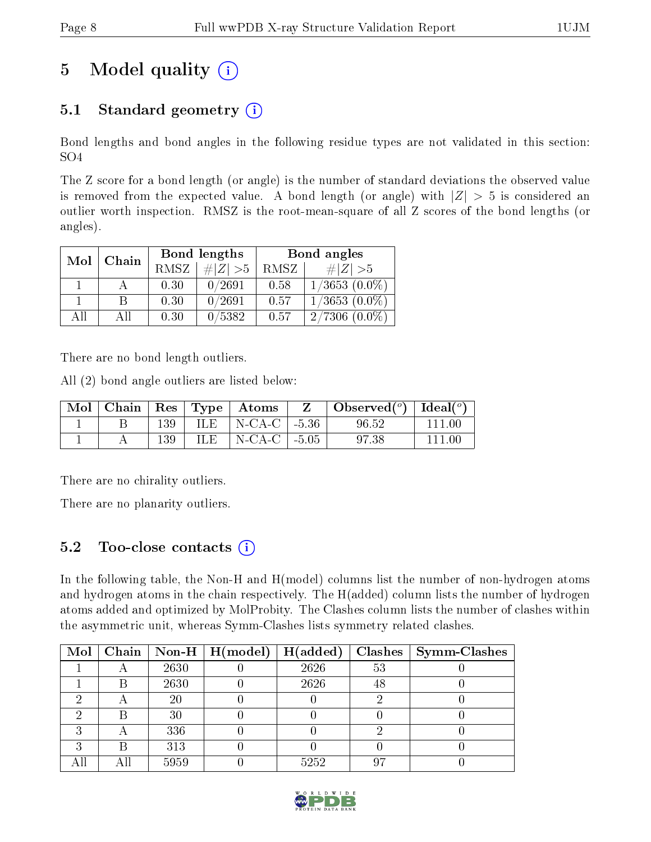## 5 Model quality  $(i)$

### 5.1 Standard geometry  $(i)$

Bond lengths and bond angles in the following residue types are not validated in this section: SO4

The Z score for a bond length (or angle) is the number of standard deviations the observed value is removed from the expected value. A bond length (or angle) with  $|Z| > 5$  is considered an outlier worth inspection. RMSZ is the root-mean-square of all Z scores of the bond lengths (or angles).

| Mol | Chain |                   | Bond lengths | Bond angles |                    |  |
|-----|-------|-------------------|--------------|-------------|--------------------|--|
|     |       | RMSZ <sup> </sup> | # $ Z  > 5$  | RMSZ        | # $ Z  > 5$        |  |
|     |       | 0.30              | 0/2691       | 0.58        | $1/3653$ $(0.0\%)$ |  |
|     | B     | 0.30              | 0/2691       | 0.57        | $1/3653(0.0\%)$    |  |
| AH  | АĦ    | 0.30              | 0/5382       | 0.57        | $2/7306(0.0\%)$    |  |

There are no bond length outliers.

All (2) bond angle outliers are listed below:

|  |     | Mol   Chain   Res   Type   Atoms                                 | $\mathbf{Z}$ | Observed( $^{\circ}$ )   Ideal( $^{\circ}$ ) |        |
|--|-----|------------------------------------------------------------------|--------------|----------------------------------------------|--------|
|  | 139 | $\parallel$ ILE $\parallel$ N-CA-C $\parallel$ -5.36 $\parallel$ |              | 96.52                                        |        |
|  | 139 | ILE $\vert$ N-CA-C $\vert$ -5.05                                 |              | 97.38                                        | 111 OO |

There are no chirality outliers.

There are no planarity outliers.

### 5.2 Too-close contacts  $\overline{a}$

In the following table, the Non-H and H(model) columns list the number of non-hydrogen atoms and hydrogen atoms in the chain respectively. The H(added) column lists the number of hydrogen atoms added and optimized by MolProbity. The Clashes column lists the number of clashes within the asymmetric unit, whereas Symm-Clashes lists symmetry related clashes.

| Mol |      | Chain   Non-H   $H (model)$ | H(added) |    | $Clashes$   Symm-Clashes |
|-----|------|-----------------------------|----------|----|--------------------------|
|     | 2630 |                             | 2626     | 53 |                          |
|     | 2630 |                             | 2626     | 48 |                          |
|     | 20   |                             |          |    |                          |
|     | 30   |                             |          |    |                          |
|     | 336  |                             |          |    |                          |
|     | 313  |                             |          |    |                          |
|     | 5959 |                             | 5252     | 97 |                          |

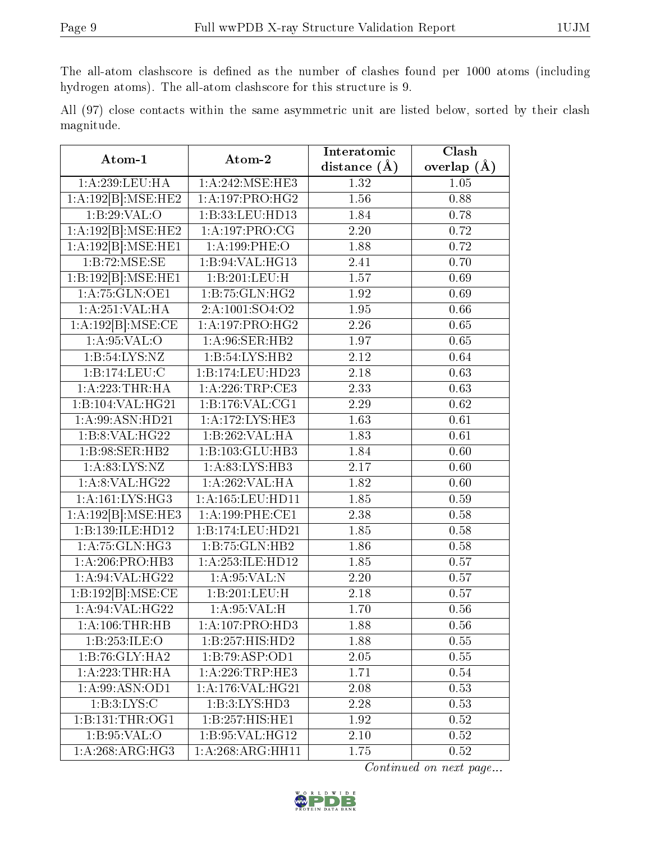The all-atom clashscore is defined as the number of clashes found per 1000 atoms (including hydrogen atoms). The all-atom clashscore for this structure is 9.

All (97) close contacts within the same asymmetric unit are listed below, sorted by their clash magnitude.

| Atom-1                            | Atom-2                        | Interatomic       | Clash           |
|-----------------------------------|-------------------------------|-------------------|-----------------|
|                                   |                               | distance $(A)$    | overlap $(\AA)$ |
| 1:A:239:LEU:HA                    | 1: A:242: MSE:HE3             | 1.32              | 1.05            |
| $1:A:192[B]\overline{.MSE:HE2}$   | 1: A: 197: PRO:HG2            | 1.56              | 0.88            |
| 1:B:29:VAL:O                      | 1:B:33:LEU:HD13               | 1.84              | 0.78            |
| 1:A:192[B]:MSE:HE2                | 1:A:197:PRO:CG                | 2.20              | 0.72            |
| 1:A:192[B]:MSE:HE1                | 1:A:199:PHE:O                 | 1.88              | 0.72            |
| 1:B:72:MSE:SE                     | 1:B:94:VAL:HG13               | 2.41              | 0.70            |
| 1:B:192[B]:MSE:HE1                | 1:B:201:LEU:H                 | 1.57              | 0.69            |
| 1: A:75: GLN:OE1                  | $1:B:75:GLN:\overline{HG2}$   | 1.92              | 0.69            |
| 1: A:251:VAL:HA                   | 2:A:1001:SO4:O2               | 1.95              | 0.66            |
| 1:A:192[B]:MSE:CE                 | 1: A:197: PRO:HG2             | 2.26              | 0.65            |
| 1: A:95:VAL:O                     | 1:A:96:SER:HB2                | 1.97              | 0.65            |
| 1: B:54: LYS:NZ                   | 1:B:54:LYS:HB2                | 2.12              | 0.64            |
| $1:B:174:\overline{\text{LEU:C}}$ | 1:B:174:LEU:HD23              | 2.18              | 0.63            |
| 1: A:223:THR:HA                   | 1:A:226:TRP:CE3               | 2.33              | 0.63            |
| 1:B:104:VAL:HG21                  | 1:B:176:VAL:CG1               | 2.29              | 0.62            |
| 1:A:99:ASN:HD21                   | 1:A:172:LYS:HE3               | 1.63              | 0.61            |
| 1:B:8:VAL:HG22                    | 1:B:262:VAL:HA                | 1.83              | 0.61            |
| 1:B:98:SER:HB2                    | 1:B:103:GLU:HB3               | 1.84              | 0.60            |
| 1: A:83: LYS: NZ                  | 1:A:83:LYS:HB3                | 2.17              | 0.60            |
| 1:A:8:VAL:HG22                    | 1:A:262:VAL:HA                | 1.82              | 0.60            |
| 1:A:161:LYS:HG3                   | 1:A:165:LEU:HD11              | 1.85              | 0.59            |
| 1:A:192[B]:MSE:HE3                | 1: A:199:PHE:CE1              | $\overline{2.38}$ | 0.58            |
| 1:B:139:ILE:HD12                  | 1:B:174:LEU:HD21              | 1.85              | 0.58            |
| 1: A:75: GLN:HG3                  | 1:B:75:GLN:HB2                | 1.86              | 0.58            |
| 1:A:206:PRO:HB3                   | $1:$ A:253:ILE:HD12           | 1.85              | 0.57            |
| 1:A:94:VAL:HG22                   | 1: A:95: VAL: N               | 2.20              | 0.57            |
| 1:B:192[B]:MSE:CE                 | 1:B:201:LEU:H                 | 2.18              | 0.57            |
| 1: A:94: VAL:HG22                 | 1:A:95:VAL:H                  | 1.70              | 0.56            |
| 1: A:106:THR:HB                   | 1:A:107:PRO:HD3               | 1.88              | 0.56            |
| 1:B:253:ILE:O                     | 1:B:257:HIS:HD2               | 1.88              | 0.55            |
| 1:B:76:GLY:HA2                    | 1:B:79:ASP:OD1                | 2.05              | 0.55            |
| 1: A: 223: THR: HA                | 1: A:226:TRP:HE3              | 1.71              | 0.54            |
| 1: A:99: ASN:OD1                  | 1: A:176: VAL:HG21            | 2.08              | 0.53            |
| 1: B: 3: LYS:C                    | 1:B:3:LYS:HD3                 | 2.28              | 0.53            |
| 1:B:131:THR:OG1                   | 1:B:257:HIS:HEL               | 1.92              | 0.52            |
| 1: B:95: VAL:O                    | 1:B:95:VAL:HG12               | $2.10\,$          | 0.52            |
| 1:A:268:ARG:HG3                   | $1:A:268:A\overline{RG:HH11}$ | 1.75              | 0.52            |

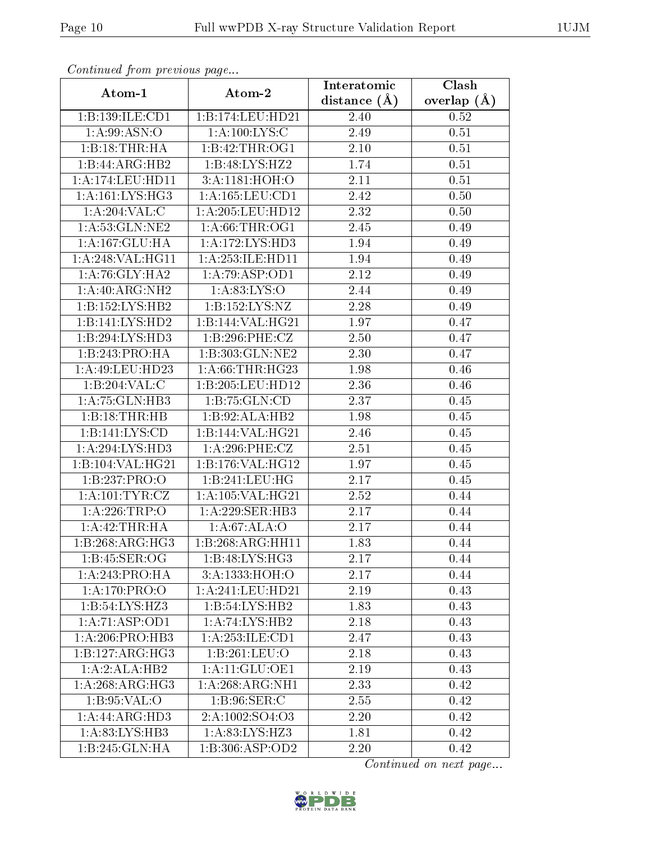| Contentaca from proctotto pago |                            | Interatomic    | $\overline{\text{Clash}}$ |
|--------------------------------|----------------------------|----------------|---------------------------|
| Atom-1                         | Atom-2                     | distance $(A)$ | overlap $(\AA)$           |
| 1:B:139:ILE:CD1                | 1:B:174:LEU:HD21           | 2.40           | 0.52                      |
| 1: A:99: ASN:O                 | 1: A:100:LYS:C             | 2.49           | 0.51                      |
| 1:B:18:THR:HA                  | 1:B:42:THR:OG1             | 2.10           | 0.51                      |
| $1:B:44:ARG:H\overline{B2}$    | 1:B:48:LYS:H <sub>22</sub> | 1.74           | 0.51                      |
| 1:A:174:LEU:HDI1               | 3:A:1181:HOH:O             | 2.11           | 0.51                      |
| 1: A:161:LYS:HG3               | 1:A:165:LEU:CD1            | 2.42           | 0.50                      |
| 1:A:204:VAL:CC                 | 1:A:205:LEU:HD12           | 2.32           | 0.50                      |
| 1: A:53: GLN:NE2               | 1: A:66:THR:OG1            | 2.45           | 0.49                      |
| 1:A:167:GLU:HA                 | 1:A:172:LYS:HD3            | 1.94           | 0.49                      |
| 1:A:248:VAL:HG11               | 1:A:253:ILE:HD11           | 1.94           | 0.49                      |
| 1: A:76: GLY:HA2               | 1:A:79:ASP:OD1             | 2.12           | 0.49                      |
| 1:A:40:ARG:NH2                 | 1: A:83: LYS:O             | 2.44           | 0.49                      |
| 1:B:152:LYS:HB2                | 1:B:152:LYS:NZ             | 2.28           | 0.49                      |
| 1:B:141:LYS:HD2                | 1:B:144:VAL:HG21           | 1.97           | 0.47                      |
| 1:B:294:LYS:HD3                | 1:B:296:PHE:CZ             | 2.50           | 0.47                      |
| 1:B:243:PRO:HA                 | 1:B:303:GLN:NE2            | 2.30           | 0.47                      |
| 1:A:49:LEU:HD23                | 1: A:66:THR:HG23           | 1.98           | 0.46                      |
| 1:B:204:VAL:CC                 | 1:B:205:LEU:HD12           | 2.36           | 0.46                      |
| 1:A:75:GLN:HB3                 | 1:B:75:GLN:CD              | 2.37           | 0.45                      |
| 1:B:18:THR:HB                  | 1:B:92:ALA:HB2             | 1.98           | $0.45\,$                  |
| 1:B:141:LYS:CD                 | 1:B:144:VAL:HG21           | 2.46           | 0.45                      |
| 1:A:294:LYS:HD3                | 1:A:296:PHE:CZ             | 2.51           | 0.45                      |
| 1:B:104:VAL:HG21               | 1:B:176:VAL:HG12           | 1.97           | 0.45                      |
| 1:B:237:PRO:O                  | 1:B:241:LEU:HG             | 2.17           | 0.45                      |
| 1: A: 101: TYR: CZ             | 1:A:105:VAL:HG21           | 2.52           | 0.44                      |
| 1:A:226:TRP:O                  | 1:A:229:SER:HB3            | 2.17           | 0.44                      |
| 1:A:42:THR:H                   | 1:A:67:ALA:O               | 2.17           | 0.44                      |
| 1:B:268:ARG:HG3                | 1:B:268:ARG:HH11           | 1.83           | 0.44                      |
| 1:B:45:SER:OG                  | 1: B:48: LYS: HG3          | 2.17           | 0.44                      |
| 1: A:243:PRO:HA                | 3:A:1333:HOH:O             | 2.17           | 0.44                      |
| 1: A:170: PRO:O                | 1:A:241:LEU:HD21           | 2.19           | 0.43                      |
| 1:B:54:LYS:HZ3                 | 1:B:54:LYS:HB2             | 1.83           | 0.43                      |
| 1:A:71:ASP:OD1                 | 1:A:74:LYS:HB2             | 2.18           | 0.43                      |
| 1:A:206:PRO:HB3                | 1:A:253:ILE:CD1            | 2.47           | 0.43                      |
| 1:B:127:ARG:HG3                | 1:B:261:LEU:O              | 2.18           | 0.43                      |
| $1:A:2:A\overline{LA:HB2}$     | 1:A:11:GLU:OE1             | 2.19           | 0.43                      |
| 1: A:268:ARG:HG3               | 1: A:268: ARG:NH1          | 2.33           | 0.42                      |
| 1: B:95: VAL:O                 | 1: B:96: SER: C            | 2.55           | 0.42                      |
| $1:A:44:A\overline{RG:HD3}$    | 2:A:1002:SO4:O3            | 2.20           | 0.42                      |
| 1:A:83:LYS:HB3                 | 1: A:83: LYS: HZ3          | 1.81           | 0.42                      |
| 1:B:245:GLN:HA                 | 1:B:306:ASP:OD2            | 2.20           | 0.42                      |

Continued from previous page.

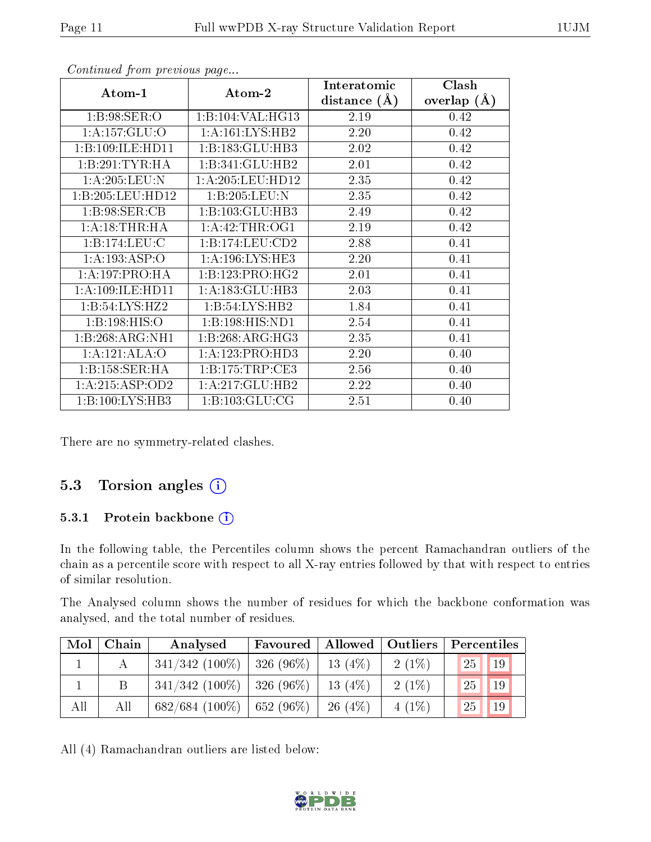| Atom-1            | Atom-2                        | Interatomic<br>distance $(A)$ | Clash<br>overlap $(A)$ |
|-------------------|-------------------------------|-------------------------------|------------------------|
| 1:5:98:SER:O      | 1:B:104:VAL:HG13              | 2.19                          | 0.42                   |
| 1:A:157:GLU:O     | $1: A:161:LYS:H\overline{B2}$ | 2.20                          | 0.42                   |
| 1:B:109:ILE:HD11  | 1:B:183:GLU:HB3               | 2.02                          | 0.42                   |
| 1:B:291:TYR:HA    | 1:B:341:GLU:HB2               | 2.01                          | 0.42                   |
| 1: A:205:LEU: N   | 1: A:205:LEU:HD12             | 2.35                          | 0.42                   |
| 1:B:205:LEU:HD12  | 1:B:205:LEU:N                 | 2.35                          | 0.42                   |
| 1: B:98: SER:CB   | 1:B:103:GLU:HB3               | 2.49                          | 0.42                   |
| 1:A:18:THR:HA     | 1: A: 42: THR: OG1            | 2.19                          | 0.42                   |
| 1:B:174:LEU:C     | 1:B:174:LEU:CD2               | 2.88                          | 0.41                   |
| 1:A:193:ASP:O     | 1: A: 196: LYS: HE3           | 2.20                          | 0.41                   |
| 1:A:197:PRO:HA    | 1:B:123:PRO:HG2               | 2.01                          | 0.41                   |
| 1:A:109:ILE:HD11  | 1:A:183:GLU:HB3               | 2.03                          | 0.41                   |
| 1:B:54:LYS:HZ2    | 1: B:54: LYS: HB2             | 1.84                          | 0.41                   |
| 1: B: 198: HIS: O | 1:B:198:HIS:ND1               | 2.54                          | 0.41                   |
| 1:B:268:ARG:NH1   | 1: B:268: ARG:HG3             | 2.35                          | 0.41                   |
| 1:A:121:ALA:O     | 1:A:123:PRO:HD3               | 2.20                          | 0.40                   |
| 1:B:158:SER:HA    | 1: B: 175: TRP: CE3           | 2.56                          | 0.40                   |
| 1:A:215:ASP:OD2   | 1:A:217:GLU:HB2               | 2.22                          | 0.40                   |
| 1:B:100:LYS:HB3   | 1: B: 103: GLU: CG            | 2.51                          | 0.40                   |

Continued from previous page...

There are no symmetry-related clashes.

#### 5.3 Torsion angles (i)

#### 5.3.1 Protein backbone (i)

In the following table, the Percentiles column shows the percent Ramachandran outliers of the chain as a percentile score with respect to all X-ray entries followed by that with respect to entries of similar resolution.

The Analysed column shows the number of residues for which the backbone conformation was analysed, and the total number of residues.

| Mol | Chain | Analysed                       | Favoured   Allowed   Outliers |           |          | Percentiles       |
|-----|-------|--------------------------------|-------------------------------|-----------|----------|-------------------|
|     |       | $341/342$ (100\%)   326 (96\%) |                               | $13(4\%)$ | $2(1\%)$ | 25<br>$\sqrt{19}$ |
|     |       | $341/342$ (100\%)   326 (96\%) |                               | $13(4\%)$ | $2(1\%)$ | 25<br>19          |
| All | All   | $682/684$ (100\%)   652 (96\%) |                               | $26(4\%)$ | $4(1\%)$ | 25<br>19          |

All (4) Ramachandran outliers are listed below:

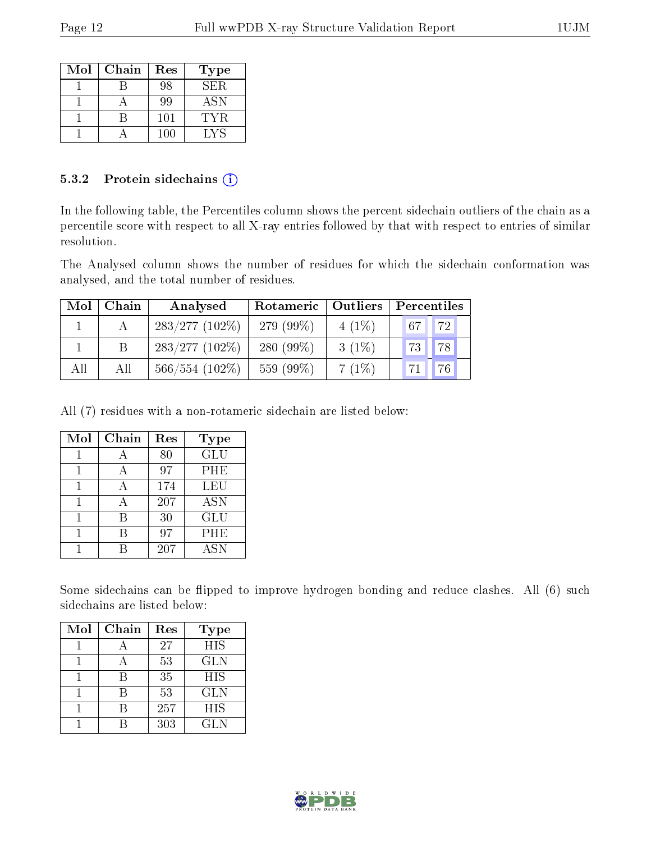| Mol | Chain | Res | Type       |
|-----|-------|-----|------------|
|     |       | 98  | SER.       |
|     |       | 99  | <b>ASN</b> |
|     |       | 101 | TYR.       |
|     |       | 100 | LYS        |

#### 5.3.2 Protein sidechains (i)

In the following table, the Percentiles column shows the percent sidechain outliers of the chain as a percentile score with respect to all X-ray entries followed by that with respect to entries of similar resolution.

The Analysed column shows the number of residues for which the sidechain conformation was analysed, and the total number of residues.

| Mol | Chain | Analysed          | Rotameric   Outliers |          | Percentiles       |  |  |
|-----|-------|-------------------|----------------------|----------|-------------------|--|--|
|     |       | $283/277(102\%)$  | 279 (99%)            | $4(1\%)$ | 72<br>67          |  |  |
|     |       | $283/277(102\%)$  | 280 $(99\%)$         | $3(1\%)$ | 78<br>73          |  |  |
| All | All   | $566/554$ (102\%) | 559 (99%)            | $7(1\%)$ | $\sqrt{76}$<br>71 |  |  |

All (7) residues with a non-rotameric sidechain are listed below:

| Mol | Chain          | Res | <b>Type</b>      |
|-----|----------------|-----|------------------|
|     |                | 80  | $\overline{GLU}$ |
|     |                | 97  | PHE              |
|     | $\overline{A}$ | 174 | LEU              |
|     |                | 207 | <b>ASN</b>       |
|     | R              | 30  | GLU              |
|     |                | 97  | PHE              |
|     |                | 207 | <b>ASN</b>       |

Some sidechains can be flipped to improve hydrogen bonding and reduce clashes. All (6) such sidechains are listed below:

| Mol | Chain | Res | <b>Type</b> |
|-----|-------|-----|-------------|
|     |       | 27  | <b>HIS</b>  |
|     |       | 53  | <b>GLN</b>  |
|     | R     | 35  | <b>HIS</b>  |
|     | R     | 53  | <b>GLN</b>  |
|     |       | 257 | <b>HIS</b>  |
|     |       | 303 | <b>GLN</b>  |

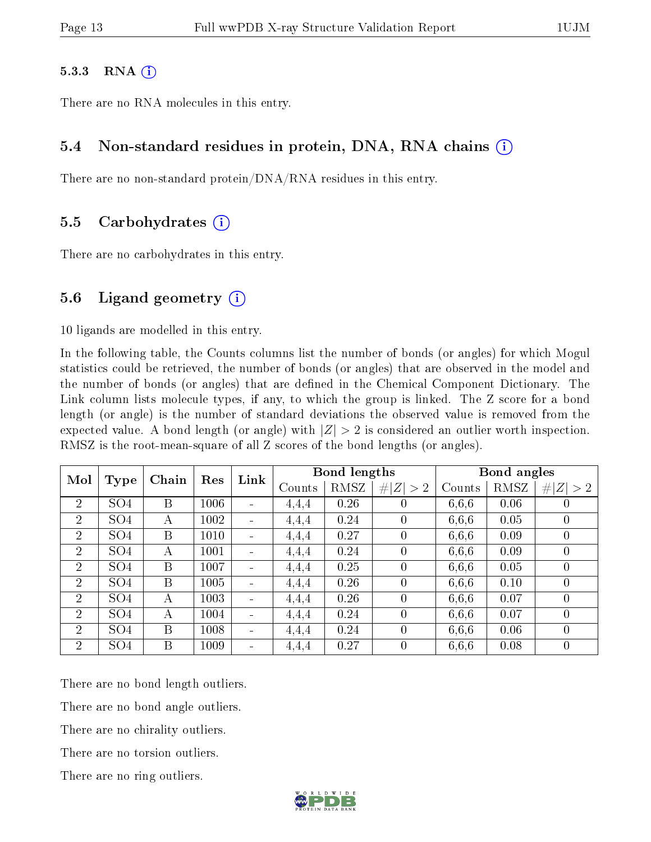#### 5.3.3 RNA  $(i)$

There are no RNA molecules in this entry.

#### 5.4 Non-standard residues in protein, DNA, RNA chains (i)

There are no non-standard protein/DNA/RNA residues in this entry.

#### 5.5 Carbohydrates (i)

There are no carbohydrates in this entry.

#### 5.6 Ligand geometry  $(i)$

10 ligands are modelled in this entry.

In the following table, the Counts columns list the number of bonds (or angles) for which Mogul statistics could be retrieved, the number of bonds (or angles) that are observed in the model and the number of bonds (or angles) that are defined in the Chemical Component Dictionary. The Link column lists molecule types, if any, to which the group is linked. The Z score for a bond length (or angle) is the number of standard deviations the observed value is removed from the expected value. A bond length (or angle) with  $|Z| > 2$  is considered an outlier worth inspection. RMSZ is the root-mean-square of all Z scores of the bond lengths (or angles).

| Mol            |                 | Chain | Res  |                          |       | Bond lengths |                |             | Bond angles |                  |             |
|----------------|-----------------|-------|------|--------------------------|-------|--------------|----------------|-------------|-------------|------------------|-------------|
|                | Type            |       |      |                          | Link  | Counts       | RMSZ           | # $ Z  > 2$ | Counts      | RMSZ             | # $ Z  > 2$ |
| $\overline{2}$ | SO <sub>4</sub> | B     | 1006 |                          | 4,4,4 | 0.26         | $\theta$       | 6,6,6       | 0.06        | $\theta$         |             |
| $\overline{2}$ | SO <sub>4</sub> | А     | 1002 |                          | 4,4,4 | 0.24         | $\theta$       | 6,6,6       | 0.05        | $\overline{0}$   |             |
| $\overline{2}$ | SO <sub>4</sub> | B     | 1010 |                          | 4.4.4 | 0.27         | $\theta$       | 6,6,6       | 0.09        | $\theta$         |             |
| $\overline{2}$ | SO <sub>4</sub> | А     | 1001 | $\overline{\phantom{0}}$ | 4.4.4 | 0.24         | $\overline{0}$ | 6,6,6       | 0.09        | $\theta$         |             |
| $\overline{2}$ | SO <sub>4</sub> | B     | 1007 |                          | 4,4,4 | 0.25         | $\overline{0}$ | 6,6,6       | 0.05        | $\overline{0}$   |             |
| 2              | SO <sub>4</sub> | B     | 1005 |                          | 4,4,4 | 0.26         | $\theta$       | 6,6,6       | 0.10        | $\theta$         |             |
| $\overline{2}$ | SO <sub>4</sub> | А     | 1003 |                          | 4,4,4 | 0.26         | $\overline{0}$ | 6,6,6       | 0.07        | $\overline{0}$   |             |
| $\overline{2}$ | SO <sub>4</sub> | A     | 1004 |                          | 4,4,4 | 0.24         | $\overline{0}$ | 6,6,6       | 0.07        | $\theta$         |             |
| 2              | SO <sub>4</sub> | B     | 1008 | $\overline{\phantom{a}}$ | 4,4,4 | 0.24         | $\theta$       | 6,6,6       | 0.06        | $\overline{0}$   |             |
| $\overline{2}$ | SO <sub>4</sub> | B     | 1009 |                          | 4,4,4 | 0.27         | $\theta$       | 6,6,6       | 0.08        | $\boldsymbol{0}$ |             |

There are no bond length outliers.

There are no bond angle outliers.

There are no chirality outliers.

There are no torsion outliers.

There are no ring outliers.

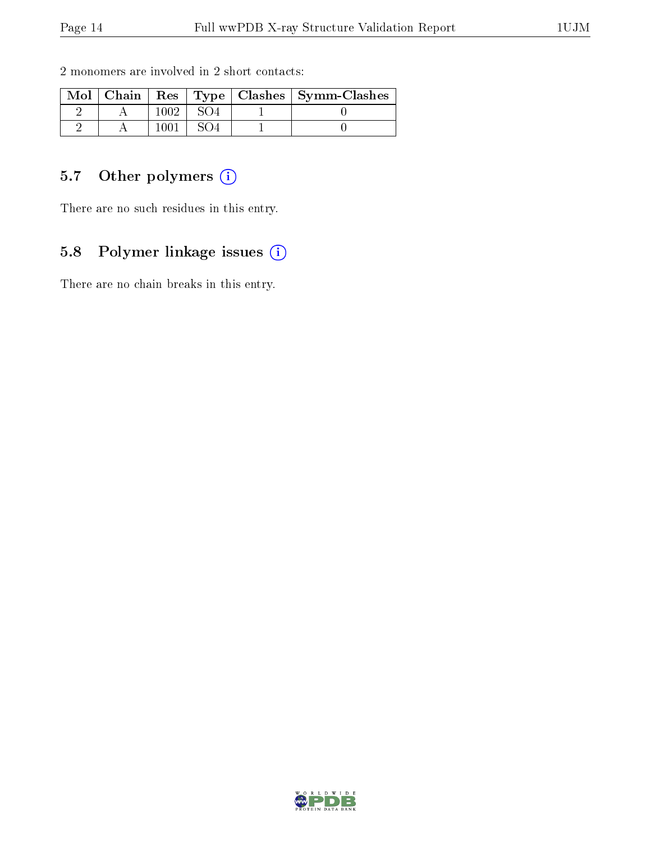| Mol | Chain |      |  | Res   Type   Clashes   Symm-Clashes |
|-----|-------|------|--|-------------------------------------|
|     |       | 1002 |  |                                     |
|     |       |      |  |                                     |

2 monomers are involved in 2 short contacts:

### 5.7 [O](https://www.wwpdb.org/validation/2017/XrayValidationReportHelp#nonstandard_residues_and_ligands)ther polymers (i)

There are no such residues in this entry.

### 5.8 Polymer linkage issues (i)

There are no chain breaks in this entry.

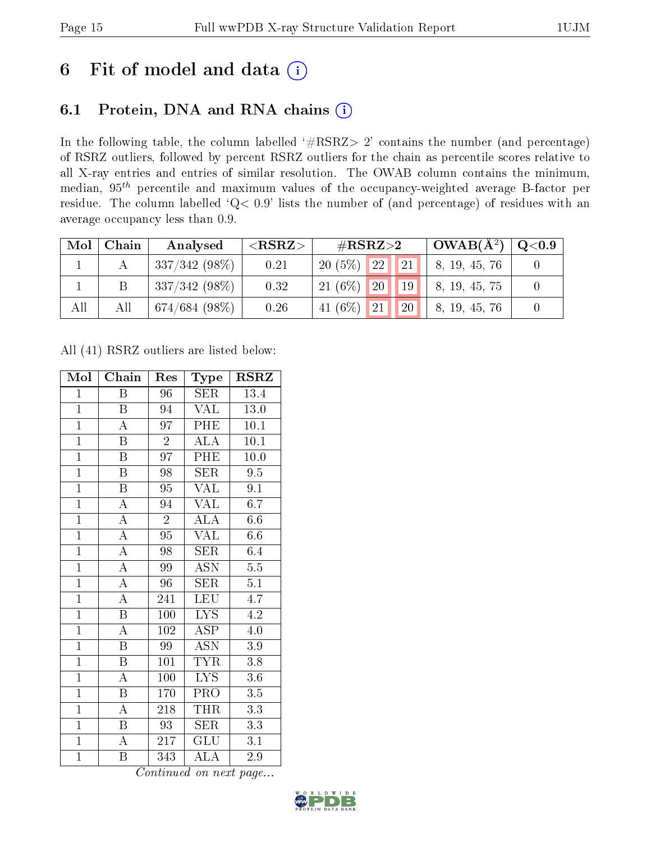## 6 Fit of model and data  $(i)$

### 6.1 Protein, DNA and RNA chains  $(i)$

In the following table, the column labelled  $#RSRZ> 2'$  contains the number (and percentage) of RSRZ outliers, followed by percent RSRZ outliers for the chain as percentile scores relative to all X-ray entries and entries of similar resolution. The OWAB column contains the minimum, median,  $95<sup>th</sup>$  percentile and maximum values of the occupancy-weighted average B-factor per residue. The column labelled ' $Q< 0.9$ ' lists the number of (and percentage) of residues with an average occupancy less than 0.9.

| Mol | Chain | Analysed                   | ${ <\hspace{-1.5pt}{\mathrm{RSRZ}} \hspace{-1.5pt}>}$ | $\#\text{RSRZ}\text{>2}$              | $\pm$ OWAB( $\rm \AA^2)$ ) | $\,$ Q $<$ 0.9 $\,$ |
|-----|-------|----------------------------|-------------------------------------------------------|---------------------------------------|----------------------------|---------------------|
|     |       | $337/342(98\%)$            | 0.21                                                  | 22 <br> 21 <br>$20(5\%)$              | 8, 19, 45, 76              |                     |
|     |       | $337/342(98\%)$            | 0.32                                                  | 20<br>$21(6\%)$<br>$\vert$ 19 $\vert$ | 8, 19, 45, 75              |                     |
| All | All   | $^{\prime}$ 674/684 (98%). | 0.26                                                  | 41 $(6%)$<br><b>20</b><br>21          | 8, 19, 45, 76              |                     |

All (41) RSRZ outliers are listed below:

| Mol            | ${\bf Chain}$             | Res             | Type                      | $\rm RSRZ$       |  |
|----------------|---------------------------|-----------------|---------------------------|------------------|--|
| $\mathbf{1}$   | B                         | 96              | SER                       | 13.4             |  |
| $\overline{1}$ | B                         | 94              | <b>VAL</b>                | 13.0             |  |
| $\overline{1}$ | $\overline{\rm A}$        | $\overline{97}$ | PHE                       | 10.1             |  |
| $\overline{1}$ | $\boldsymbol{B}$          | $\overline{2}$  | <b>ALA</b>                | 10.1             |  |
| $\overline{1}$ | $\overline{\mathrm{B}}$   | $\overline{97}$ | PHE                       | 10.0             |  |
| $\overline{1}$ | $\overline{B}$            | 98              | <b>SER</b>                | 9.5              |  |
| $\overline{1}$ | $\overline{\mathrm{B}}$   | 95              | <b>VAL</b>                | 9.1              |  |
| $\overline{1}$ | $\overline{\rm A}$        | 94              | <b>VAL</b>                | 6.7              |  |
| $\overline{1}$ | $\overline{\rm A}$        | $\overline{2}$  | $\overline{\rm ALA}$      | 6.6              |  |
| $\overline{1}$ | $\overline{\rm A}$        | $\overline{95}$ | VAL                       | 6.6              |  |
| $\overline{1}$ | $\overline{A}$            | 98              | <b>SER</b>                | 6.4              |  |
| $\overline{1}$ | $\overline{\rm A}$        | 99              | $\overline{\mathrm{ASN}}$ | $\overline{5.5}$ |  |
| $\overline{1}$ | $\overline{\rm A}$        | 96              | <b>SER</b>                | $\overline{5.1}$ |  |
| $\mathbf{1}$   | $\overline{\rm A}$        | 241             | <b>LEU</b>                | 4.7              |  |
| $\overline{1}$ | $\overline{\mathrm{B}}$   | 100             | $\overline{\text{LYS}}$   | $\overline{4.2}$ |  |
| $\overline{1}$ | $\overline{\rm A}$        | 102             | <b>ASP</b>                | $4.0\,$          |  |
| $\overline{1}$ | $\overline{\mathrm{B}}$   | $\overline{99}$ | $\overline{\mathrm{ASN}}$ | $\overline{3.9}$ |  |
| $\overline{1}$ | $\boldsymbol{\mathrm{B}}$ | 101             | <b>TYR</b>                | 3.8              |  |
| $\overline{1}$ | $\overline{\rm A}$        | 100             | $\overline{\text{LYS}}$   | 3.6              |  |
| $\overline{1}$ | $\overline{\mathbf{B}}$   | 170             | PRO                       | $3.5\,$          |  |
| $\overline{1}$ | $\overline{\rm A}$        | 218             | THR                       | 3.3              |  |
| $\overline{1}$ | B                         | 93              | SER                       | 3.3              |  |
| $\mathbf{1}$   | $\overline{\rm A}$        | 217             | <b>GLU</b>                | 3.1              |  |
| $\overline{1}$ | B                         | 343             | $\overline{\rm ALA}$      | 2.9              |  |

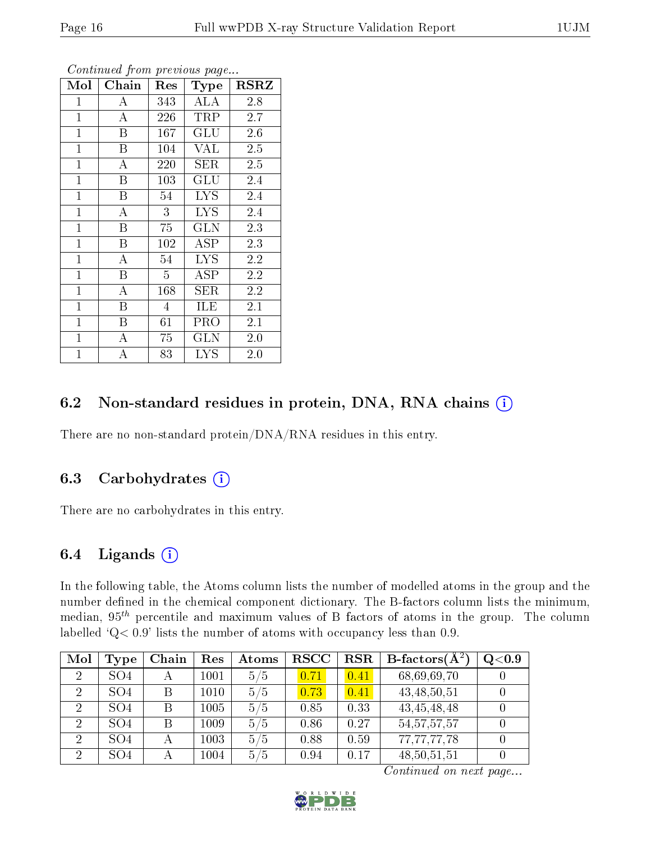| Mol          | Chain | Res            | Type                 | <b>RSRZ</b> |  |
|--------------|-------|----------------|----------------------|-------------|--|
| $\mathbf{1}$ | А     | 343            | ALA                  | 2.8         |  |
| $\mathbf{1}$ | А     | 226            | TRP                  | 2.7         |  |
| $\mathbf{1}$ | B     | 167            | GLU                  | 2.6         |  |
| $\mathbf{1}$ | B     | 104            | VAL                  | 2.5         |  |
| $\mathbf{1}$ | A     | 220            | SER                  | 2.5         |  |
| $\mathbf{1}$ | B     | 103            | $\operatorname{GLU}$ | 2.4         |  |
| $\mathbf{1}$ | B     | 54             | <b>LYS</b>           | 2.4         |  |
| $\mathbf{1}$ | А     | 3              | <b>LYS</b>           | 2.4         |  |
| $\mathbf 1$  | Β     | 75             | GLN                  | 2.3         |  |
| $\mathbf{1}$ | Β     | 102            | $\rm{ASP}$           | 2.3         |  |
| $\mathbf{1}$ | А     | 54             | <b>LYS</b>           | 2.2         |  |
| $\mathbf{1}$ | B     | $\overline{5}$ | ĀSP                  | 2.2         |  |
| $\mathbf{1}$ | А     | 168            | SER                  | 2.2         |  |
| $\mathbf{1}$ | B     | $\overline{4}$ | ILE                  | 2.1         |  |
| $\mathbf{1}$ | B     | 61             | PRO                  | 2.1         |  |
| $\mathbf{1}$ | A     | 75             | $_{\rm GLN}$         | 2.0         |  |
| $\mathbf{1}$ | A     | 83             | <b>LYS</b>           | 2.0         |  |

Continued from previous page...

### 6.2 Non-standard residues in protein, DNA, RNA chains (i)

There are no non-standard protein/DNA/RNA residues in this entry.

#### 6.3 Carbohydrates  $(i)$

There are no carbohydrates in this entry.

#### 6.4 Ligands  $(i)$

In the following table, the Atoms column lists the number of modelled atoms in the group and the number defined in the chemical component dictionary. The B-factors column lists the minimum, median,  $95<sup>th</sup>$  percentile and maximum values of B factors of atoms in the group. The column labelled  $Q < 0.9$ ' lists the number of atoms with occupancy less than 0.9.

| Mol            | Type            | Chain | Res  | Atoms | <b>RSCC</b> | $_{\rm RSR}$ | <b>B</b> -factors( $\overline{A^2}$ ) | Q <sub>0.9</sub> |
|----------------|-----------------|-------|------|-------|-------------|--------------|---------------------------------------|------------------|
| $\overline{2}$ | SO <sub>4</sub> | А     | 1001 | 5/5   | 0.71        | 0.41         | 68,69,69,70                           |                  |
| $\overline{2}$ | SO <sub>4</sub> | В     | 1010 | 5/5   | 0.73        | 0.41         | 43, 48, 50, 51                        |                  |
| $\overline{2}$ | SO <sub>4</sub> | B     | 1005 | 5/5   | 0.85        | 0.33         | 43, 45, 48, 48                        |                  |
| $\overline{2}$ | SO <sub>4</sub> | B     | 1009 | 5/5   | 0.86        | 0.27         | 54, 57, 57, 57                        |                  |
| $\overline{2}$ | SO <sub>4</sub> |       | 1003 | 5/5   | 0.88        | 0.59         | 77,77,77,78                           |                  |
| -2             | SO <sub>4</sub> |       | 1004 | 5/5   | 0.94        | 0.17         | 48, 50, 51, 51                        |                  |